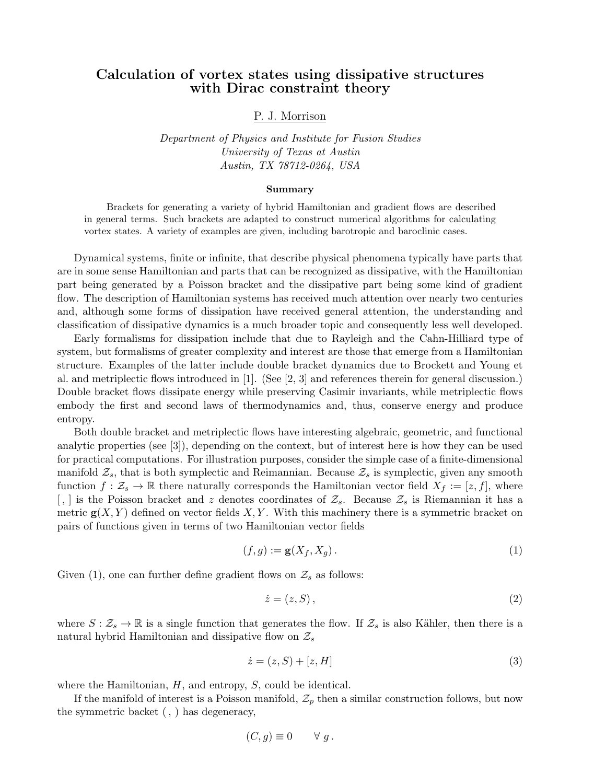## Calculation of vortex states using dissipative structures with Dirac constraint theory

## P. J. Morrison

Department of Physics and Institute for Fusion Studies University of Texas at Austin Austin, TX 78712-0264, USA

## Summary

Brackets for generating a variety of hybrid Hamiltonian and gradient flows are described in general terms. Such brackets are adapted to construct numerical algorithms for calculating vortex states. A variety of examples are given, including barotropic and baroclinic cases.

Dynamical systems, finite or infinite, that describe physical phenomena typically have parts that are in some sense Hamiltonian and parts that can be recognized as dissipative, with the Hamiltonian part being generated by a Poisson bracket and the dissipative part being some kind of gradient flow. The description of Hamiltonian systems has received much attention over nearly two centuries and, although some forms of dissipation have received general attention, the understanding and classification of dissipative dynamics is a much broader topic and consequently less well developed.

Early formalisms for dissipation include that due to Rayleigh and the Cahn-Hilliard type of system, but formalisms of greater complexity and interest are those that emerge from a Hamiltonian structure. Examples of the latter include double bracket dynamics due to Brockett and Young et al. and metriplectic flows introduced in [1]. (See [2, 3] and references therein for general discussion.) Double bracket flows dissipate energy while preserving Casimir invariants, while metriplectic flows embody the first and second laws of thermodynamics and, thus, conserve energy and produce entropy.

Both double bracket and metriplectic flows have interesting algebraic, geometric, and functional analytic properties (see [3]), depending on the context, but of interest here is how they can be used for practical computations. For illustration purposes, consider the simple case of a finite-dimensional manifold  $\mathcal{Z}_s$ , that is both symplectic and Reimannian. Because  $\mathcal{Z}_s$  is symplectic, given any smooth function  $f: \mathcal{Z}_s \to \mathbb{R}$  there naturally corresponds the Hamiltonian vector field  $X_f := [z, f]$ , where [,] is the Poisson bracket and z denotes coordinates of  $\mathcal{Z}_s$ . Because  $\mathcal{Z}_s$  is Riemannian it has a metric  $g(X, Y)$  defined on vector fields X, Y. With this machinery there is a symmetric bracket on pairs of functions given in terms of two Hamiltonian vector fields

$$
(f,g) := \mathbf{g}(X_f, X_g). \tag{1}
$$

Given (1), one can further define gradient flows on  $\mathcal{Z}_s$  as follows:

$$
\dot{z} = (z, S),\tag{2}
$$

where  $S: \mathcal{Z}_s \to \mathbb{R}$  is a single function that generates the flow. If  $\mathcal{Z}_s$  is also Kähler, then there is a natural hybrid Hamiltonian and dissipative flow on  $\mathcal{Z}_s$ 

$$
\dot{z} = (z, S) + [z, H] \tag{3}
$$

where the Hamiltonian,  $H$ , and entropy,  $S$ , could be identical.

If the manifold of interest is a Poisson manifold,  $\mathcal{Z}_p$  then a similar construction follows, but now the symmetric backet (, ) has degeneracy,

$$
(C,g) \equiv 0 \qquad \forall g.
$$